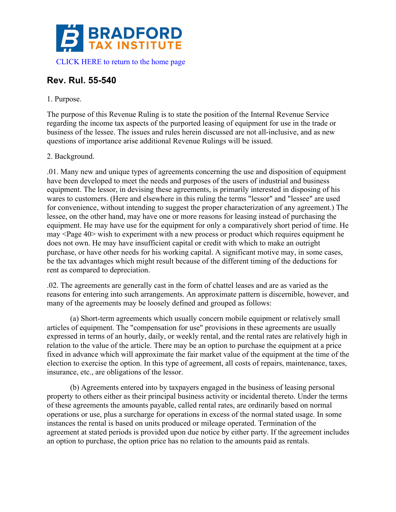

# **Rev. Rul. 55-540**

### 1. Purpose.

The purpose of this Revenue Ruling is to state the position of the Internal Revenue Service regarding the income tax aspects of the purported leasing of equipment for use in the trade or business of the lessee. The issues and rules herein discussed are not all-inclusive, and as new questions of importance arise additional Revenue Rulings will be issued.

### 2. Background.

.01. Many new and unique types of agreements concerning the use and disposition of equipment have been developed to meet the needs and purposes of the users of industrial and business equipment. The lessor, in devising these agreements, is primarily interested in disposing of his wares to customers. (Here and elsewhere in this ruling the terms "lessor" and "lessee" are used for convenience, without intending to suggest the proper characterization of any agreement.) The lessee, on the other hand, may have one or more reasons for leasing instead of purchasing the equipment. He may have use for the equipment for only a comparatively short period of time. He may <Page 40> wish to experiment with a new process or product which requires equipment he does not own. He may have insufficient capital or credit with which to make an outright purchase, or have other needs for his working capital. A significant motive may, in some cases, be the tax advantages which might result because of the different timing of the deductions for rent as compared to depreciation.

.02. The agreements are generally cast in the form of chattel leases and are as varied as the reasons for entering into such arrangements. An approximate pattern is discernible, however, and many of the agreements may be loosely defined and grouped as follows:

(a) Short-term agreements which usually concern mobile equipment or relatively small articles of equipment. The "compensation for use" provisions in these agreements are usually expressed in terms of an hourly, daily, or weekly rental, and the rental rates are relatively high in relation to the value of the article. There may be an option to purchase the equipment at a price fixed in advance which will approximate the fair market value of the equipment at the time of the election to exercise the option. In this type of agreement, all costs of repairs, maintenance, taxes, insurance, etc., are obligations of the lessor.

(b) Agreements entered into by taxpayers engaged in the business of leasing personal property to others either as their principal business activity or incidental thereto. Under the terms of these agreements the amounts payable, called rental rates, are ordinarily based on normal operations or use, plus a surcharge for operations in excess of the normal stated usage. In some instances the rental is based on units produced or mileage operated. Termination of the agreement at stated periods is provided upon due notice by either party. If the agreement includes an option to purchase, the option price has no relation to the amounts paid as rentals.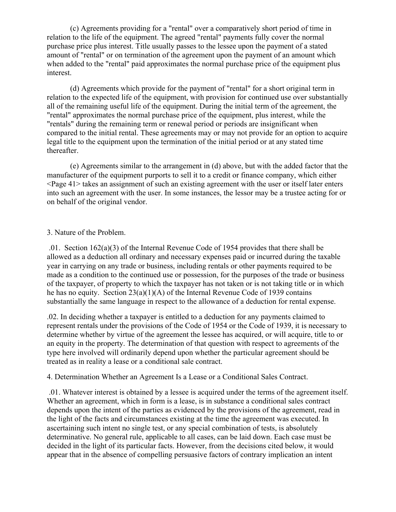(c) Agreements providing for a "rental" over a comparatively short period of time in relation to the life of the equipment. The agreed "rental" payments fully cover the normal purchase price plus interest. Title usually passes to the lessee upon the payment of a stated amount of "rental" or on termination of the agreement upon the payment of an amount which when added to the "rental" paid approximates the normal purchase price of the equipment plus interest.

(d) Agreements which provide for the payment of "rental" for a short original term in relation to the expected life of the equipment, with provision for continued use over substantially all of the remaining useful life of the equipment. During the initial term of the agreement, the "rental" approximates the normal purchase price of the equipment, plus interest, while the "rentals" during the remaining term or renewal period or periods are insignificant when compared to the initial rental. These agreements may or may not provide for an option to acquire legal title to the equipment upon the termination of the initial period or at any stated time thereafter.

(e) Agreements similar to the arrangement in (d) above, but with the added factor that the manufacturer of the equipment purports to sell it to a credit or finance company, which either <Page 41> takes an assignment of such an existing agreement with the user or itself later enters into such an agreement with the user. In some instances, the lessor may be a trustee acting for or on behalf of the original vendor.

#### 3. Nature of the Problem.

.01. Section 162(a)(3) of the Internal Revenue Code of 1954 provides that there shall be allowed as a deduction all ordinary and necessary expenses paid or incurred during the taxable year in carrying on any trade or business, including rentals or other payments required to be made as a condition to the continued use or possession, for the purposes of the trade or business of the taxpayer, of property to which the taxpayer has not taken or is not taking title or in which he has no equity. Section  $23(a)(1)(A)$  of the Internal Revenue Code of 1939 contains substantially the same language in respect to the allowance of a deduction for rental expense.

.02. In deciding whether a taxpayer is entitled to a deduction for any payments claimed to represent rentals under the provisions of the Code of 1954 or the Code of 1939, it is necessary to determine whether by virtue of the agreement the lessee has acquired, or will acquire, title to or an equity in the property. The determination of that question with respect to agreements of the type here involved will ordinarily depend upon whether the particular agreement should be treated as in reality a lease or a conditional sale contract.

4. Determination Whether an Agreement Is a Lease or a Conditional Sales Contract.

.01. Whatever interest is obtained by a lessee is acquired under the terms of the agreement itself. Whether an agreement, which in form is a lease, is in substance a conditional sales contract depends upon the intent of the parties as evidenced by the provisions of the agreement, read in the light of the facts and circumstances existing at the time the agreement was executed. In ascertaining such intent no single test, or any special combination of tests, is absolutely determinative. No general rule, applicable to all cases, can be laid down. Each case must be decided in the light of its particular facts. However, from the decisions cited below, it would appear that in the absence of compelling persuasive factors of contrary implication an intent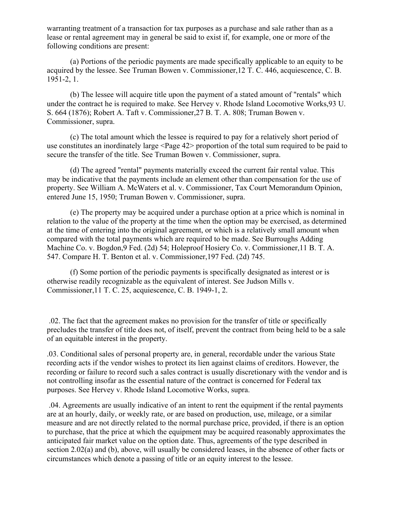warranting treatment of a transaction for tax purposes as a purchase and sale rather than as a lease or rental agreement may in general be said to exist if, for example, one or more of the following conditions are present:

(a) Portions of the periodic payments are made specifically applicable to an equity to be acquired by the lessee. See Truman Bowen v. Commissioner,12 T. C. 446, acquiescence, C. B. 1951-2, 1.

(b) The lessee will acquire title upon the payment of a stated amount of "rentals" which under the contract he is required to make. See Hervey v. Rhode Island Locomotive Works,93 U. S. 664 (1876); Robert A. Taft v. Commissioner,27 B. T. A. 808; Truman Bowen v. Commissioner, supra.

(c) The total amount which the lessee is required to pay for a relatively short period of use constitutes an inordinately large <Page 42> proportion of the total sum required to be paid to secure the transfer of the title. See Truman Bowen v. Commissioner, supra.

(d) The agreed "rental" payments materially exceed the current fair rental value. This may be indicative that the payments include an element other than compensation for the use of property. See William A. McWaters et al. v. Commissioner, Tax Court Memorandum Opinion, entered June 15, 1950; Truman Bowen v. Commissioner, supra.

(e) The property may be acquired under a purchase option at a price which is nominal in relation to the value of the property at the time when the option may be exercised, as determined at the time of entering into the original agreement, or which is a relatively small amount when compared with the total payments which are required to be made. See Burroughs Adding Machine Co. v. Bogdon,9 Fed. (2d) 54; Holeproof Hosiery Co. v. Commissioner,11 B. T. A. 547. Compare H. T. Benton et al. v. Commissioner,197 Fed. (2d) 745.

(f) Some portion of the periodic payments is specifically designated as interest or is otherwise readily recognizable as the equivalent of interest. See Judson Mills v. Commissioner,11 T. C. 25, acquiescence, C. B. 1949-1, 2.

.02. The fact that the agreement makes no provision for the transfer of title or specifically precludes the transfer of title does not, of itself, prevent the contract from being held to be a sale of an equitable interest in the property.

.03. Conditional sales of personal property are, in general, recordable under the various State recording acts if the vendor wishes to protect its lien against claims of creditors. However, the recording or failure to record such a sales contract is usually discretionary with the vendor and is not controlling insofar as the essential nature of the contract is concerned for Federal tax purposes. See Hervey v. Rhode Island Locomotive Works, supra.

.04. Agreements are usually indicative of an intent to rent the equipment if the rental payments are at an hourly, daily, or weekly rate, or are based on production, use, mileage, or a similar measure and are not directly related to the normal purchase price, provided, if there is an option to purchase, that the price at which the equipment may be acquired reasonably approximates the anticipated fair market value on the option date. Thus, agreements of the type described in section 2.02(a) and (b), above, will usually be considered leases, in the absence of other facts or circumstances which denote a passing of title or an equity interest to the lessee.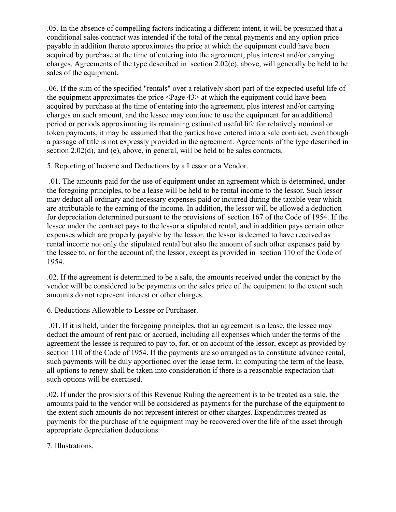.05. In the absence of compelling factors indicating a different intent, it will be presumed that a conditional sales contract was intended if the total of the rental payments and any option price payable in addition thereto approximates the price at which the equipment could have been acquired by purchase at the time of entering into the agreement, plus interest and/or carrying charges. Agreements of the type described in section 2.02(c), above, will generally be held to be sales of the equipment.

.06. If the sum of the specified "rentals" over a relatively short part of the expected useful life of the equipment approximates the price <Page 43> at which the equipment could have been acquired by purchase at the time of entering into the agreement, plus interest and/or carrying charges on such amount, and the lessee may continue to use the equipment for an additional period or periods approximating its remaining estimated useful life for relatively nominal or token payments, it may be assumed that the parties have entered into a sale contract, even though a passage of title is not expressly provided in the agreement. Agreements of the type described in section 2.02(d), and (e), above, in general, will be held to be sales contracts.

5. Reporting of Income and Deductions by a Lessor or a Vendor.

.01. The amounts paid for the use of equipment under an agreement which is determined, under the foregoing principles, to be a lease will be held to be rental income to the lessor. Such lessor may deduct all ordinary and necessary expenses paid or incurred during the taxable year which are attributable to the earning of the income. In addition, the lessor will be allowed a deduction for depreciation determined pursuant to the provisions of section 167 of the Code of 1954. If the lessee under the contract pays to the lessor a stipulated rental, and in addition pays certain other expenses which are properly payable by the lessor, the lessor is deemed to have received as rental income not only the stipulated rental but also the amount of such other expenses paid by the lessee to, or for the account of, the lessor, except as provided in section 110 of the Code of 1954.

.02. If the agreement is determined to be a sale, the amounts received under the contract by the vendor will be considered to be payments on the sales price of the equipment to the extent such amounts do not represent interest or other charges.

6. Deductions Allowable to Lessee or Purchaser.

.01. If it is held, under the foregoing principles, that an agreement is a lease, the lessee may deduct the amount of rent paid or accrued, including all expenses which under the terms of the agreement the lessee is required to pay to, for, or on account of the lessor, except as provided by section 110 of the Code of 1954. If the payments are so arranged as to constitute advance rental, such payments will be duly apportioned over the lease term. In computing the term of the lease, all options to renew shall be taken into consideration if there is a reasonable expectation that such options will be exercised.

.02. If under the provisions of this Revenue Ruling the agreement is to be treated as a sale, the amounts paid to the vendor will be considered as payments for the purchase of the equipment to the extent such amounts do not represent interest or other charges. Expenditures treated as payments for the purchase of the equipment may be recovered over the life of the asset through appropriate depreciation deductions.

## 7. Illustrations.